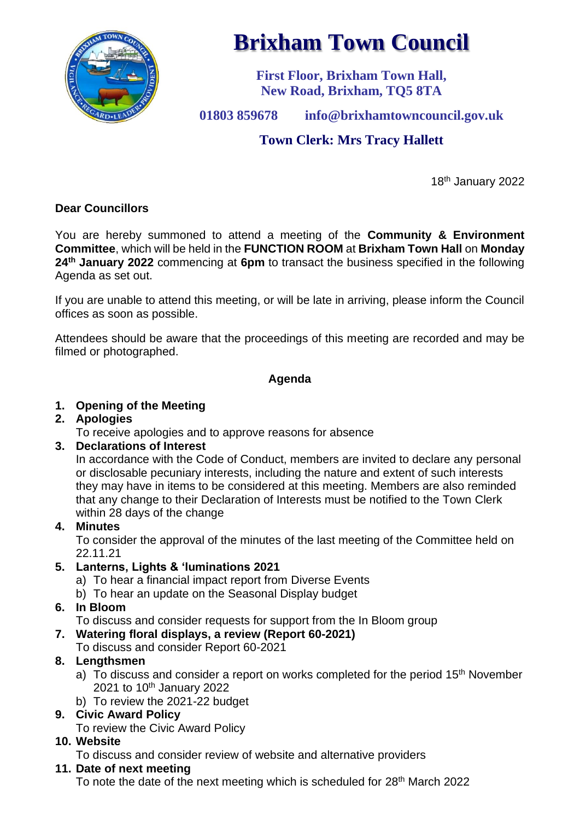

# **Brixham Town Council**

**First Floor, Brixham Town Hall, New Road, Brixham, TQ5 8TA**

**01803 859678 info@brixhamtowncouncil.gov.uk**

# **Town Clerk: Mrs Tracy Hallett**

18th January 2022

# **Dear Councillors**

You are hereby summoned to attend a meeting of the **Community & Environment Committee**, which will be held in the **FUNCTION ROOM** at **Brixham Town Hall** on **Monday 24th January 2022** commencing at **6pm** to transact the business specified in the following Agenda as set out.

If you are unable to attend this meeting, or will be late in arriving, please inform the Council offices as soon as possible.

Attendees should be aware that the proceedings of this meeting are recorded and may be filmed or photographed.

# **Agenda**

# **1. Opening of the Meeting**

## **2. Apologies**

To receive apologies and to approve reasons for absence

## **3. Declarations of Interest**

In accordance with the Code of Conduct, members are invited to declare any personal or disclosable pecuniary interests, including the nature and extent of such interests they may have in items to be considered at this meeting. Members are also reminded that any change to their Declaration of Interests must be notified to the Town Clerk within 28 days of the change

## **4. Minutes**

To consider the approval of the minutes of the last meeting of the Committee held on 22.11.21

## **5. Lanterns, Lights & 'luminations 2021**

- a) To hear a financial impact report from Diverse Events
- b) To hear an update on the Seasonal Display budget

# **6. In Bloom**

To discuss and consider requests for support from the In Bloom group

# **7. Watering floral displays, a review (Report 60-2021)**

To discuss and consider Report 60-2021

# **8. Lengthsmen**

- a) To discuss and consider a report on works completed for the period 15<sup>th</sup> November 2021 to 10th January 2022
- b) To review the 2021-22 budget

# **9. Civic Award Policy**

To review the Civic Award Policy

# **10. Website**

To discuss and consider review of website and alternative providers

# **11. Date of next meeting**

To note the date of the next meeting which is scheduled for 28<sup>th</sup> March 2022